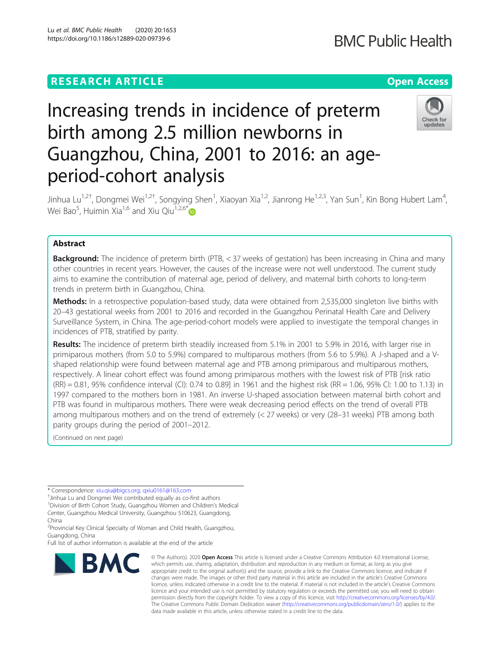# **RESEARCH ARTICLE Example 2014 12:30 The Contract of Contract ACCESS** Increasing trends in incidence of preterm

birth among 2.5 million newborns in

Guangzhou, China, 2001 to 2016: an age-

Jinhua Lu<sup>1,2†</sup>, Dongmei Wei<sup>1,2†</sup>, Songying Shen<sup>1</sup>, Xiaoyan Xia<sup>1,2</sup>, Jianrong He<sup>1,2,3</sup>, Yan Sun<sup>1</sup>, Kin Bong Hubert Lam<sup>4</sup> , Wei Bao<sup>5</sup>, Huimin Xia<sup>1,6</sup> and Xiu Qiu<sup>1,2,6\*</sup>

# Abstract

**Background:** The incidence of preterm birth (PTB, < 37 weeks of gestation) has been increasing in China and many other countries in recent years. However, the causes of the increase were not well understood. The current study aims to examine the contribution of maternal age, period of delivery, and maternal birth cohorts to long-term trends in preterm birth in Guangzhou, China.

Methods: In a retrospective population-based study, data were obtained from 2,535,000 singleton live births with 20–43 gestational weeks from 2001 to 2016 and recorded in the Guangzhou Perinatal Health Care and Delivery Surveillance System, in China. The age-period-cohort models were applied to investigate the temporal changes in incidences of PTB, stratified by parity.

Results: The incidence of preterm birth steadily increased from 5.1% in 2001 to 5.9% in 2016, with larger rise in primiparous mothers (from 5.0 to 5.9%) compared to multiparous mothers (from 5.6 to 5.9%). A J-shaped and a Vshaped relationship were found between maternal age and PTB among primiparous and multiparous mothers, respectively. A linear cohort effect was found among primiparous mothers with the lowest risk of PTB [risk ratio (RR) = 0.81, 95% confidence interval (CI): 0.74 to 0.89] in 1961 and the highest risk (RR = 1.06, 95% CI: 1.00 to 1.13) in 1997 compared to the mothers born in 1981. An inverse U-shaped association between maternal birth cohort and PTB was found in multiparous mothers. There were weak decreasing period effects on the trend of overall PTB among multiparous mothers and on the trend of extremely (< 27 weeks) or very (28–31 weeks) PTB among both parity groups during the period of 2001–2012.

(Continued on next page)

\* Correspondence: [xiu.qiu@bigcs.org;](mailto:xiu.qiu@bigcs.org) [qxiu0161@163.com](mailto:qxiu0161@163.com) †

<sup>+</sup>Jinhua Lu and Dongmei Wei contributed equally as co-first authors

<sup>1</sup> Division of Birth Cohort Study, Guangzhou Women and Children's Medical Center, Guangzhou Medical University, Guangzhou 510623, Guangdong, China

<sup>2</sup> Provincial Key Clinical Specialty of Woman and Child Health, Guangzhou, Guangdong, China

Full list of author information is available at the end of the article

period-cohort analysis

© The Author(s), 2020 **Open Access** This article is licensed under a Creative Commons Attribution 4.0 International License, which permits use, sharing, adaptation, distribution and reproduction in any medium or format, as long as you give appropriate credit to the original author(s) and the source, provide a link to the Creative Commons licence, and indicate if changes were made. The images or other third party material in this article are included in the article's Creative Commons licence, unless indicated otherwise in a credit line to the material. If material is not included in the article's Creative Commons licence and your intended use is not permitted by statutory regulation or exceeds the permitted use, you will need to obtain permission directly from the copyright holder. To view a copy of this licence, visit [http://creativecommons.org/licenses/by/4.0/.](http://creativecommons.org/licenses/by/4.0/) The Creative Commons Public Domain Dedication waiver [\(http://creativecommons.org/publicdomain/zero/1.0/](http://creativecommons.org/publicdomain/zero/1.0/)) applies to the data made available in this article, unless otherwise stated in a credit line to the data.

Check for

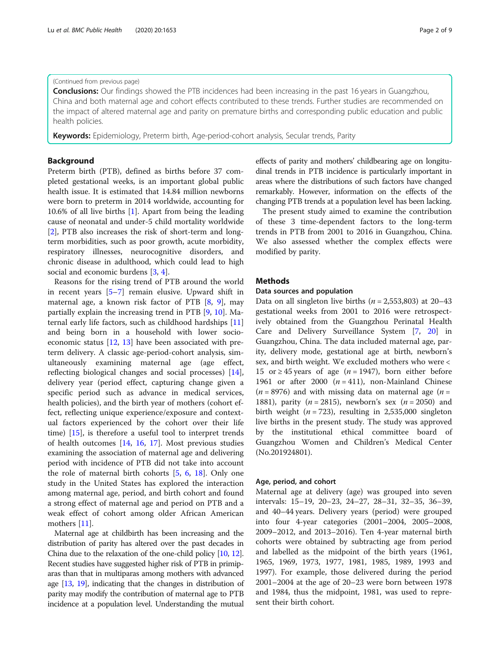### (Continued from previous page)

**Conclusions:** Our findings showed the PTB incidences had been increasing in the past 16 years in Guangzhou, China and both maternal age and cohort effects contributed to these trends. Further studies are recommended on the impact of altered maternal age and parity on premature births and corresponding public education and public health policies.

Keywords: Epidemiology, Preterm birth, Age-period-cohort analysis, Secular trends, Parity

#### Background

Preterm birth (PTB), defined as births before 37 completed gestational weeks, is an important global public health issue. It is estimated that 14.84 million newborns were born to preterm in 2014 worldwide, accounting for 10.6% of all live births [[1\]](#page-7-0). Apart from being the leading cause of neonatal and under-5 child mortality worldwide [[2\]](#page-7-0), PTB also increases the risk of short-term and longterm morbidities, such as poor growth, acute morbidity, respiratory illnesses, neurocognitive disorders, and chronic disease in adulthood, which could lead to high social and economic burdens [[3,](#page-7-0) [4\]](#page-7-0).

Reasons for the rising trend of PTB around the world in recent years [\[5](#page-7-0)–[7](#page-7-0)] remain elusive. Upward shift in maternal age, a known risk factor of PTB [[8,](#page-7-0) [9](#page-7-0)], may partially explain the increasing trend in PTB [\[9](#page-7-0), [10](#page-7-0)]. Maternal early life factors, such as childhood hardships [[11](#page-7-0)] and being born in a household with lower socioeconomic status [\[12](#page-7-0), [13\]](#page-7-0) have been associated with preterm delivery. A classic age-period-cohort analysis, simultaneously examining maternal age (age effect, reflecting biological changes and social processes) [\[14](#page-7-0)], delivery year (period effect, capturing change given a specific period such as advance in medical services, health policies), and the birth year of mothers (cohort effect, reflecting unique experience/exposure and contextual factors experienced by the cohort over their life time) [\[15](#page-7-0)], is therefore a useful tool to interpret trends of health outcomes [[14](#page-7-0), [16,](#page-7-0) [17](#page-7-0)]. Most previous studies examining the association of maternal age and delivering period with incidence of PTB did not take into account the role of maternal birth cohorts [\[5,](#page-7-0) [6](#page-7-0), [18\]](#page-7-0). Only one study in the United States has explored the interaction among maternal age, period, and birth cohort and found a strong effect of maternal age and period on PTB and a weak effect of cohort among older African American mothers [\[11](#page-7-0)].

Maternal age at childbirth has been increasing and the distribution of parity has altered over the past decades in China due to the relaxation of the one-child policy [[10](#page-7-0), [12](#page-7-0)]. Recent studies have suggested higher risk of PTB in primiparas than that in multiparas among mothers with advanced age [\[13,](#page-7-0) [19](#page-7-0)], indicating that the changes in distribution of parity may modify the contribution of maternal age to PTB incidence at a population level. Understanding the mutual effects of parity and mothers' childbearing age on longitudinal trends in PTB incidence is particularly important in areas where the distributions of such factors have changed remarkably. However, information on the effects of the changing PTB trends at a population level has been lacking.

The present study aimed to examine the contribution of these 3 time-dependent factors to the long-term trends in PTB from 2001 to 2016 in Guangzhou, China. We also assessed whether the complex effects were modified by parity.

#### Methods

# Data sources and population

Data on all singleton live births ( $n = 2,553,803$ ) at 20–43 gestational weeks from 2001 to 2016 were retrospectively obtained from the Guangzhou Perinatal Health Care and Delivery Surveillance System [\[7](#page-7-0), [20](#page-7-0)] in Guangzhou, China. The data included maternal age, parity, delivery mode, gestational age at birth, newborn's sex, and birth weight. We excluded mothers who were < 15 or ≥ 45 years of age (*n* = 1947), born either before 1961 or after 2000  $(n = 411)$ , non-Mainland Chinese  $(n = 8976)$  and with missing data on maternal age  $(n = 16976)$ 1881), parity ( $n = 2815$ ), newborn's sex ( $n = 2050$ ) and birth weight ( $n = 723$ ), resulting in 2,535,000 singleton live births in the present study. The study was approved by the institutional ethical committee board of Guangzhou Women and Children's Medical Center (No.201924801).

#### Age, period, and cohort

Maternal age at delivery (age) was grouped into seven intervals: 15–19, 20–23, 24–27, 28–31, 32–35, 36–39, and 40–44 years. Delivery years (period) were grouped into four 4-year categories (2001–2004, 2005–2008, 2009–2012, and 2013–2016). Ten 4-year maternal birth cohorts were obtained by subtracting age from period and labelled as the midpoint of the birth years (1961, 1965, 1969, 1973, 1977, 1981, 1985, 1989, 1993 and 1997). For example, those delivered during the period 2001–2004 at the age of 20–23 were born between 1978 and 1984, thus the midpoint, 1981, was used to represent their birth cohort.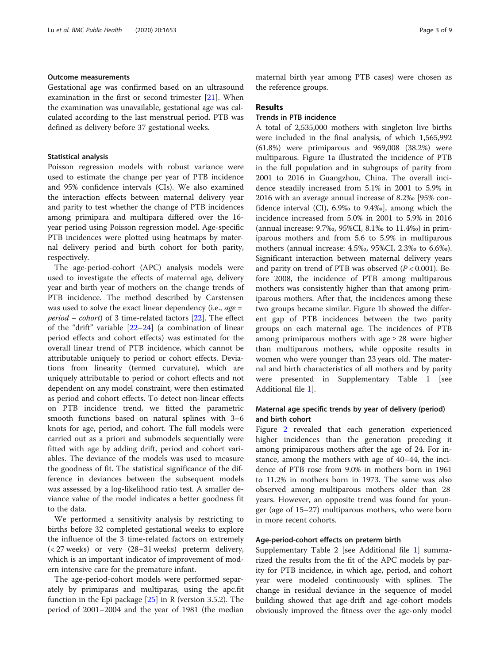#### Outcome measurements

Gestational age was confirmed based on an ultrasound examination in the first or second trimester [[21\]](#page-8-0). When the examination was unavailable, gestational age was calculated according to the last menstrual period. PTB was defined as delivery before 37 gestational weeks.

#### Statistical analysis

Poisson regression models with robust variance were used to estimate the change per year of PTB incidence and 95% confidence intervals (CIs). We also examined the interaction effects between maternal delivery year and parity to test whether the change of PTB incidences among primipara and multipara differed over the 16 year period using Poisson regression model. Age-specific PTB incidences were plotted using heatmaps by maternal delivery period and birth cohort for both parity, respectively.

The age-period-cohort (APC) analysis models were used to investigate the effects of maternal age, delivery year and birth year of mothers on the change trends of PTB incidence. The method described by Carstensen was used to solve the exact linear dependency (i.e.,  $age =$ *period – cohort*) of 3 time-related factors  $[22]$  $[22]$ . The effect of the "drift" variable [\[22](#page-8-0)–[24\]](#page-8-0) (a combination of linear period effects and cohort effects) was estimated for the overall linear trend of PTB incidence, which cannot be attributable uniquely to period or cohort effects. Deviations from linearity (termed curvature), which are uniquely attributable to period or cohort effects and not dependent on any model constraint, were then estimated as period and cohort effects. To detect non-linear effects on PTB incidence trend, we fitted the parametric smooth functions based on natural splines with 3–6 knots for age, period, and cohort. The full models were carried out as a priori and submodels sequentially were fitted with age by adding drift, period and cohort variables. The deviance of the models was used to measure the goodness of fit. The statistical significance of the difference in deviances between the subsequent models was assessed by a log-likelihood ratio test. A smaller deviance value of the model indicates a better goodness fit to the data.

We performed a sensitivity analysis by restricting to births before 32 completed gestational weeks to explore the influence of the 3 time-related factors on extremely (< 27 weeks) or very (28–31 weeks) preterm delivery, which is an important indicator of improvement of modern intensive care for the premature infant.

The age-period-cohort models were performed separately by primiparas and multiparas, using the apc.fit function in the Epi package  $[25]$  $[25]$  $[25]$  in R (version 3.5.2). The period of 2001–2004 and the year of 1981 (the median maternal birth year among PTB cases) were chosen as the reference groups.

#### Results

# Trends in PTB incidence

A total of 2,535,000 mothers with singleton live births were included in the final analysis, of which 1,565,992 (61.8%) were primiparous and 969,008 (38.2%) were multiparous. Figure [1](#page-3-0)a illustrated the incidence of PTB in the full population and in subgroups of parity from 2001 to 2016 in Guangzhou, China. The overall incidence steadily increased from 5.1% in 2001 to 5.9% in 2016 with an average annual increase of 8.2‰ [95% confidence interval (CI), 6.9‰ to 9.4‰], among which the incidence increased from 5.0% in 2001 to 5.9% in 2016 (annual increase: 9.7‰, 95%CI, 8.1‰ to 11.4‰) in primiparous mothers and from 5.6 to 5.9% in multiparous mothers (annual increase: 4.5‰, 95%CI, 2.3‰ to 6.6‰). Significant interaction between maternal delivery years and parity on trend of PTB was observed  $(P < 0.001)$ . Before 2008, the incidence of PTB among multiparous mothers was consistently higher than that among primiparous mothers. After that, the incidences among these two groups became similar. Figure [1](#page-3-0)b showed the different gap of PTB incidences between the two parity groups on each maternal age. The incidences of PTB among primiparous mothers with age  $\geq 28$  were higher than multiparous mothers, while opposite results in women who were younger than 23 years old. The maternal and birth characteristics of all mothers and by parity were presented in Supplementary Table 1 [see Additional file [1](#page-7-0)].

# Maternal age specific trends by year of delivery (period) and birth cohort

Figure [2](#page-4-0) revealed that each generation experienced higher incidences than the generation preceding it among primiparous mothers after the age of 24. For instance, among the mothers with age of 40–44, the incidence of PTB rose from 9.0% in mothers born in 1961 to 11.2% in mothers born in 1973. The same was also observed among multiparous mothers older than 28 years. However, an opposite trend was found for younger (age of 15–27) multiparous mothers, who were born in more recent cohorts.

### Age-period-cohort effects on preterm birth

Supplementary Table 2 [see Additional file [1](#page-7-0)] summarized the results from the fit of the APC models by parity for PTB incidence, in which age, period, and cohort year were modeled continuously with splines. The change in residual deviance in the sequence of model building showed that age-drift and age-cohort models obviously improved the fitness over the age-only model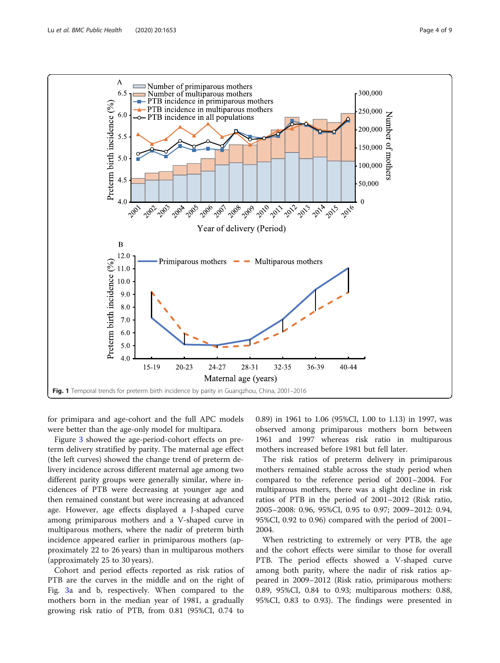<span id="page-3-0"></span>

for primipara and age-cohort and the full APC models were better than the age-only model for multipara.

Figure [3](#page-5-0) showed the age-period-cohort effects on preterm delivery stratified by parity. The maternal age effect (the left curves) showed the change trend of preterm delivery incidence across different maternal age among two different parity groups were generally similar, where incidences of PTB were decreasing at younger age and then remained constant but were increasing at advanced age. However, age effects displayed a J-shaped curve among primiparous mothers and a V-shaped curve in multiparous mothers, where the nadir of preterm birth incidence appeared earlier in primiparous mothers (approximately 22 to 26 years) than in multiparous mothers (approximately 25 to 30 years).

Cohort and period effects reported as risk ratios of PTB are the curves in the middle and on the right of Fig. [3a](#page-5-0) and b, respectively. When compared to the mothers born in the median year of 1981, a gradually growing risk ratio of PTB, from 0.81 (95%CI, 0.74 to

0.89) in 1961 to 1.06 (95%CI, 1.00 to 1.13) in 1997, was observed among primiparous mothers born between 1961 and 1997 whereas risk ratio in multiparous mothers increased before 1981 but fell later.

The risk ratios of preterm delivery in primiparous mothers remained stable across the study period when compared to the reference period of 2001–2004. For multiparous mothers, there was a slight decline in risk ratios of PTB in the period of 2001–2012 (Risk ratio, 2005–2008: 0.96, 95%CI, 0.95 to 0.97; 2009–2012: 0.94, 95%CI, 0.92 to 0.96) compared with the period of 2001– 2004.

When restricting to extremely or very PTB, the age and the cohort effects were similar to those for overall PTB. The period effects showed a V-shaped curve among both parity, where the nadir of risk ratios appeared in 2009–2012 (Risk ratio, primiparous mothers: 0.89, 95%CI, 0.84 to 0.93; multiparous mothers: 0.88, 95%CI, 0.83 to 0.93). The findings were presented in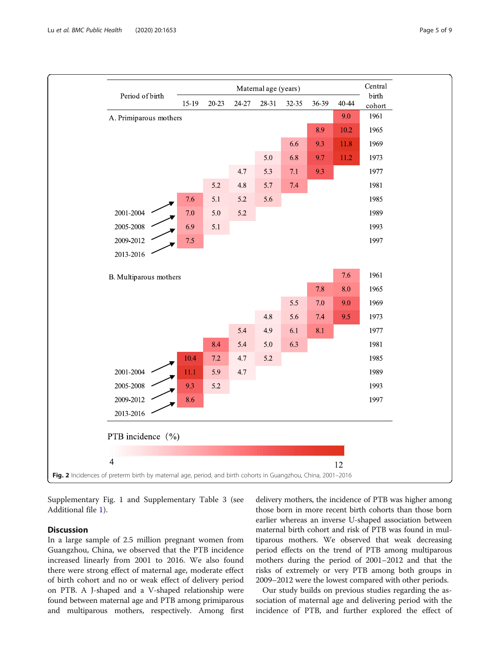<span id="page-4-0"></span>

Supplementary Fig. 1 and Supplementary Table 3 (see Additional file [1](#page-7-0)).

# **Discussion**

In a large sample of 2.5 million pregnant women from Guangzhou, China, we observed that the PTB incidence increased linearly from 2001 to 2016. We also found there were strong effect of maternal age, moderate effect of birth cohort and no or weak effect of delivery period on PTB. A J-shaped and a V-shaped relationship were found between maternal age and PTB among primiparous and multiparous mothers, respectively. Among first

delivery mothers, the incidence of PTB was higher among those born in more recent birth cohorts than those born earlier whereas an inverse U-shaped association between maternal birth cohort and risk of PTB was found in multiparous mothers. We observed that weak decreasing period effects on the trend of PTB among multiparous mothers during the period of 2001–2012 and that the risks of extremely or very PTB among both groups in 2009–2012 were the lowest compared with other periods.

Our study builds on previous studies regarding the association of maternal age and delivering period with the incidence of PTB, and further explored the effect of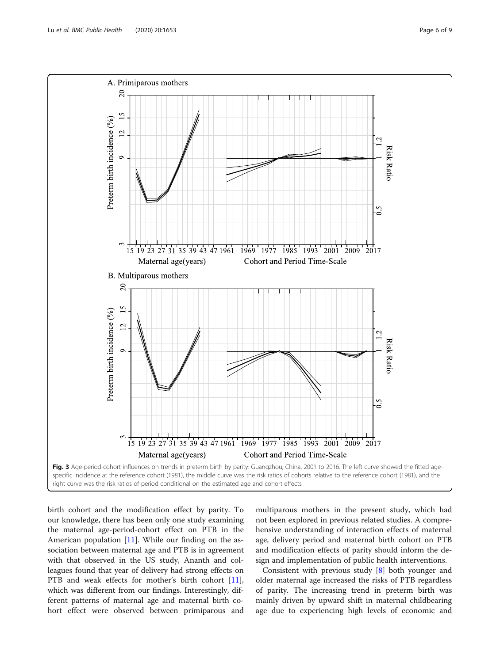<span id="page-5-0"></span>

right curve was the risk ratios of period conditional on the estimated age and cohort effects

birth cohort and the modification effect by parity. To our knowledge, there has been only one study examining the maternal age-period-cohort effect on PTB in the American population [\[11\]](#page-7-0). While our finding on the association between maternal age and PTB is in agreement with that observed in the US study, Ananth and colleagues found that year of delivery had strong effects on PTB and weak effects for mother's birth cohort [\[11](#page-7-0)], which was different from our findings. Interestingly, different patterns of maternal age and maternal birth cohort effect were observed between primiparous and

multiparous mothers in the present study, which had not been explored in previous related studies. A comprehensive understanding of interaction effects of maternal age, delivery period and maternal birth cohort on PTB and modification effects of parity should inform the design and implementation of public health interventions.

Consistent with previous study [[8\]](#page-7-0) both younger and older maternal age increased the risks of PTB regardless of parity. The increasing trend in preterm birth was mainly driven by upward shift in maternal childbearing age due to experiencing high levels of economic and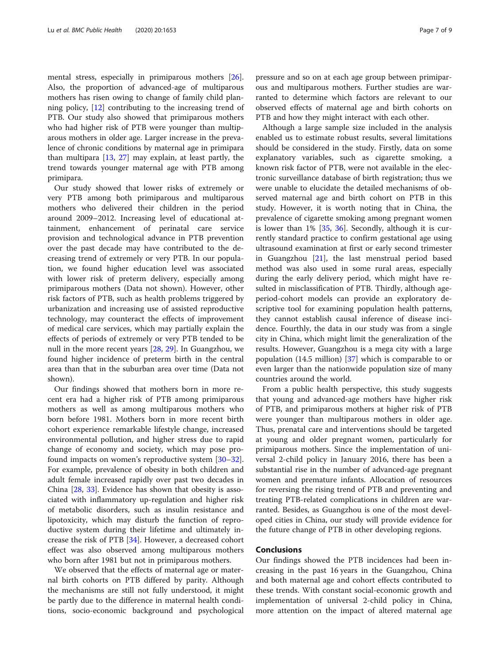mental stress, especially in primiparous mothers [\[26](#page-8-0)]. Also, the proportion of advanced-age of multiparous mothers has risen owing to change of family child planning policy, [[12\]](#page-7-0) contributing to the increasing trend of PTB. Our study also showed that primiparous mothers who had higher risk of PTB were younger than multiparous mothers in older age. Larger increase in the prevalence of chronic conditions by maternal age in primipara than multipara [\[13](#page-7-0), [27](#page-8-0)] may explain, at least partly, the trend towards younger maternal age with PTB among primipara.

Our study showed that lower risks of extremely or very PTB among both primiparous and multiparous mothers who delivered their children in the period around 2009–2012. Increasing level of educational attainment, enhancement of perinatal care service provision and technological advance in PTB prevention over the past decade may have contributed to the decreasing trend of extremely or very PTB. In our population, we found higher education level was associated with lower risk of preterm delivery, especially among primiparous mothers (Data not shown). However, other risk factors of PTB, such as health problems triggered by urbanization and increasing use of assisted reproductive technology, may counteract the effects of improvement of medical care services, which may partially explain the effects of periods of extremely or very PTB tended to be null in the more recent years [\[28,](#page-8-0) [29\]](#page-8-0). In Guangzhou, we found higher incidence of preterm birth in the central area than that in the suburban area over time (Data not shown).

Our findings showed that mothers born in more recent era had a higher risk of PTB among primiparous mothers as well as among multiparous mothers who born before 1981. Mothers born in more recent birth cohort experience remarkable lifestyle change, increased environmental pollution, and higher stress due to rapid change of economy and society, which may pose profound impacts on women's reproductive system [[30](#page-8-0)–[32](#page-8-0)]. For example, prevalence of obesity in both children and adult female increased rapidly over past two decades in China [[28,](#page-8-0) [33\]](#page-8-0). Evidence has shown that obesity is associated with inflammatory up-regulation and higher risk of metabolic disorders, such as insulin resistance and lipotoxicity, which may disturb the function of reproductive system during their lifetime and ultimately increase the risk of PTB [[34](#page-8-0)]. However, a decreased cohort effect was also observed among multiparous mothers who born after 1981 but not in primiparous mothers.

We observed that the effects of maternal age or maternal birth cohorts on PTB differed by parity. Although the mechanisms are still not fully understood, it might be partly due to the difference in maternal health conditions, socio-economic background and psychological pressure and so on at each age group between primiparous and multiparous mothers. Further studies are warranted to determine which factors are relevant to our observed effects of maternal age and birth cohorts on PTB and how they might interact with each other.

Although a large sample size included in the analysis enabled us to estimate robust results, several limitations should be considered in the study. Firstly, data on some explanatory variables, such as cigarette smoking, a known risk factor of PTB, were not available in the electronic surveillance database of birth registration; thus we were unable to elucidate the detailed mechanisms of observed maternal age and birth cohort on PTB in this study. However, it is worth noting that in China, the prevalence of cigarette smoking among pregnant women is lower than 1% [\[35](#page-8-0), [36](#page-8-0)]. Secondly, although it is currently standard practice to confirm gestational age using ultrasound examination at first or early second trimester in Guangzhou [\[21](#page-8-0)], the last menstrual period based method was also used in some rural areas, especially during the early delivery period, which might have resulted in misclassification of PTB. Thirdly, although ageperiod-cohort models can provide an exploratory descriptive tool for examining population health patterns, they cannot establish causal inference of disease incidence. Fourthly, the data in our study was from a single city in China, which might limit the generalization of the results. However, Guangzhou is a mega city with a large population (14.5 million) [[37\]](#page-8-0) which is comparable to or even larger than the nationwide population size of many countries around the world.

From a public health perspective, this study suggests that young and advanced-age mothers have higher risk of PTB, and primiparous mothers at higher risk of PTB were younger than multiparous mothers in older age. Thus, prenatal care and interventions should be targeted at young and older pregnant women, particularly for primiparous mothers. Since the implementation of universal 2-child policy in January 2016, there has been a substantial rise in the number of advanced-age pregnant women and premature infants. Allocation of resources for reversing the rising trend of PTB and preventing and treating PTB-related complications in children are warranted. Besides, as Guangzhou is one of the most developed cities in China, our study will provide evidence for the future change of PTB in other developing regions.

# **Conclusions**

Our findings showed the PTB incidences had been increasing in the past 16 years in the Guangzhou, China and both maternal age and cohort effects contributed to these trends. With constant social-economic growth and implementation of universal 2-child policy in China, more attention on the impact of altered maternal age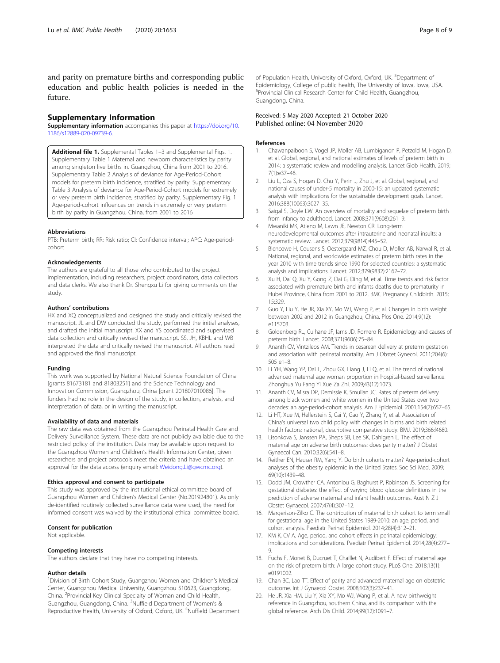<span id="page-7-0"></span>and parity on premature births and corresponding public education and public health policies is needed in the future.

### Supplementary Information

Supplementary information accompanies this paper at [https://doi.org/10.](https://doi.org/10.1186/s12889-020-09739-6) [1186/s12889-020-09739-6](https://doi.org/10.1186/s12889-020-09739-6).

Additional file 1. Supplemental Tables 1-3 and Supplemental Figs. 1. Supplementary Table 1 Maternal and newborn characteristics by parity among singleton live births in. Guangzhou, China from 2001 to 2016. Supplementary Table 2 Analysis of deviance for Age-Period-Cohort models for preterm birth incidence, stratified by parity. Supplementary Table 3 Analysis of deviance for Age-Period-Cohort models for extremely or very preterm birth incidence, stratified by parity. Supplementary Fig. 1 Age-period-cohort influences on trends in extremely or very preterm birth by parity in Guangzhou, China, from 2001 to 2016

#### Abbreviations

PTB: Preterm birth; RR: Risk ratio; CI: Confidence interval; APC: Age-periodcohort

#### Acknowledgements

The authors are grateful to all those who contributed to the project implementation, including researchers, project coordinators, data collectors and data clerks. We also thank Dr. Shengxu Li for giving comments on the study.

#### Authors' contributions

HX and XQ conceptualized and designed the study and critically revised the manuscript. JL and DW conducted the study, performed the initial analyses, and drafted the initial manuscript. XX and YS coordinated and supervised data collection and critically revised the manuscript. SS, JH, KBHL and WB interpreted the data and critically revised the manuscript. All authors read and approved the final manuscript.

#### Funding

This work was supported by National Natural Science Foundation of China [grants 81673181 and 81803251] and the Science Technology and Innovation Commission, Guangzhou, China [grant 201807010086]. The funders had no role in the design of the study, in collection, analysis, and interpretation of data, or in writing the manuscript.

#### Availability of data and materials

The raw data was obtained from the Guangzhou Perinatal Health Care and Delivery Surveillance System. These data are not publicly available due to the restricted policy of the institution. Data may be available upon request to the Guangzhou Women and Children's Health Information Center, given researchers and project protocols meet the criteria and have obtained an approval for the data access (enquiry email: [Weidong.Li@gwcmc.org\)](mailto:Weidong.Li@gwcmc.org).

### Ethics approval and consent to participate

This study was approved by the institutional ethical committee board of Guangzhou Women and Children's Medical Center (No.201924801). As only de-identified routinely collected surveillance data were used, the need for informed consent was waived by the institutional ethical committee board.

#### Consent for publication

Not applicable.

#### Competing interests

The authors declare that they have no competing interests.

#### Author details

<sup>1</sup> Division of Birth Cohort Study, Guangzhou Women and Children's Medical Center, Guangzhou Medical University, Guangzhou 510623, Guangdong, China. <sup>2</sup> Provincial Key Clinical Specialty of Woman and Child Health, Guangzhou, Guangdong, China. <sup>3</sup>Nuffield Department of Women's & Reproductive Health, University of Oxford, Oxford, UK. <sup>4</sup>Nuffield Department

of Population Health, University of Oxford, Oxford, UK. <sup>5</sup>Department of Epidemiology, College of public health, The University of Iowa, Iowa, USA. 6 Provincial Clinical Research Center for Child Health, Guangzhou, Guangdong, China.

#### Received: 5 May 2020 Accepted: 21 October 2020 Published online: 04 November 2020

#### References

- 1. Chawanpaiboon S, Vogel JP, Moller AB, Lumbiganon P, Petzold M, Hogan D, et al. Global, regional, and national estimates of levels of preterm birth in 2014: a systematic review and modelling analysis. Lancet Glob Health. 2019; 7(1):e37–46.
- 2. Liu L, Oza S, Hogan D, Chu Y, Perin J, Zhu J, et al. Global, regional, and national causes of under-5 mortality in 2000-15: an updated systematic analysis with implications for the sustainable development goals. Lancet. 2016;388(10063):3027–35.
- 3. Saigal S, Doyle LW. An overview of mortality and sequelae of preterm birth from infancy to adulthood. Lancet. 2008;371(9608):261–9.
- 4. Mwaniki MK, Atieno M, Lawn JE, Newton CR. Long-term neurodevelopmental outcomes after intrauterine and neonatal insults: a systematic review. Lancet. 2012;379(9814):445–52.
- 5. Blencowe H, Cousens S, Oestergaard MZ, Chou D, Moller AB, Narwal R, et al. National, regional, and worldwide estimates of preterm birth rates in the year 2010 with time trends since 1990 for selected countries: a systematic analysis and implications. Lancet. 2012;379(9832):2162–72.
- 6. Xu H, Dai Q, Xu Y, Gong Z, Dai G, Ding M, et al. Time trends and risk factor associated with premature birth and infants deaths due to prematurity in Hubei Province, China from 2001 to 2012. BMC Pregnancy Childbirth. 2015; 15:329.
- 7. Guo Y, Liu Y, He JR, Xia XY, Mo WJ, Wang P, et al. Changes in birth weight between 2002 and 2012 in Guangzhou, China. Plos One. 2014;9(12): e115703.
- 8. Goldenberg RL, Culhane JF, Iams JD, Romero R. Epidemiology and causes of preterm birth. Lancet. 2008;371(9606):75–84.
- 9. Ananth CV, Vintzileos AM. Trends in cesarean delivery at preterm gestation and association with perinatal mortality. Am J Obstet Gynecol. 2011;204(6): 505 e1–8.
- 10. Li YH, Wang YP, Dai L, Zhou GX, Liang J, Li Q, et al. The trend of national advanced maternal age woman proportion in hospital-based surveillance. Zhonghua Yu Fang Yi Xue Za Zhi. 2009;43(12):1073.
- 11. Ananth CV, Misra DP, Demissie K, Smulian JC. Rates of preterm delivery among black women and white women in the United States over two decades: an age-period-cohort analysis. Am J Epidemiol. 2001;154(7):657–65.
- 12. Li HT, Xue M, Hellerstein S, Cai Y, Gao Y, Zhang Y, et al. Association of China's universal two child policy with changes in births and birth related health factors: national, descriptive comparative study. BMJ. 2019;366:l4680.
- 13. Lisonkova S, Janssen PA, Sheps SB, Lee SK, Dahlgren L. The effect of maternal age on adverse birth outcomes: does parity matter? J Obstet Gynaecol Can. 2010;32(6):541–8.
- 14. Reither EN, Hauser RM, Yang Y. Do birth cohorts matter? Age-period-cohort analyses of the obesity epidemic in the United States. Soc Sci Med. 2009; 69(10):1439–48.
- 15. Dodd JM, Crowther CA, Antoniou G, Baghurst P, Robinson JS. Screening for gestational diabetes: the effect of varying blood glucose definitions in the prediction of adverse maternal and infant health outcomes. Aust N Z J Obstet Gynaecol. 2007;47(4):307–12.
- 16. Margerison-Zilko C. The contribution of maternal birth cohort to term small for gestational age in the United States 1989-2010: an age, period, and cohort analysis. Paediatr Perinat Epidemiol. 2014;28(4):312–21.
- 17. KM K, CV A. Age, period, and cohort effects in perinatal epidemiology: implications and considerations. Paediatr Perinat Epidemiol. 2014;28(4):277– 9.
- 18. Fuchs F, Monet B, Ducruet T, Chaillet N, Audibert F. Effect of maternal age on the risk of preterm birth: A large cohort study. PLoS One. 2018;13(1): e0191002.
- 19. Chan BC, Lao TT. Effect of parity and advanced maternal age on obstetric outcome. Int J Gynaecol Obstet. 2008;102(3):237–41.
- 20. He JR, Xia HM, Liu Y, Xia XY, Mo WJ, Wang P, et al. A new birthweight reference in Guangzhou, southern China, and its comparison with the global reference. Arch Dis Child. 2014;99(12):1091–7.